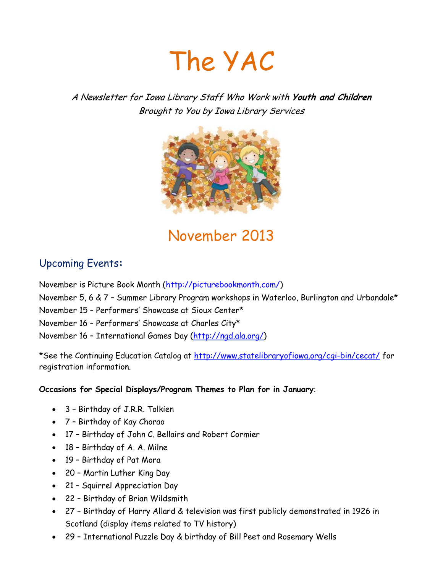

A Newsletter for Iowa Library Staff Who Work with **Youth and Children** Brought to You by Iowa Library Services



November 2013

### Upcoming Events**:**

November is Picture Book Month [\(http://picturebookmonth.com/\)](http://picturebookmonth.com/) November 5, 6 & 7 – Summer Library Program workshops in Waterloo, Burlington and Urbandale\* November 15 – Performers' Showcase at Sioux Center\* November 16 – Performers' Showcase at Charles City\* November 16 – International Games Day [\(http://ngd.ala.org/\)](http://ngd.ala.org/)

\*See the Continuing Education Catalog at<http://www.statelibraryofiowa.org/cgi-bin/cecat/> for registration information.

**Occasions for Special Displays/Program Themes to Plan for in January**:

- 3 Birthday of J.R.R. Tolkien
- 7 Birthday of Kay Chorao
- 17 Birthday of John C. Bellairs and Robert Cormier
- 18 Birthday of A. A. Milne
- 19 Birthday of Pat Mora
- 20 Martin Luther King Day
- 21 Squirrel Appreciation Day
- 22 Birthday of Brian Wildsmith
- 27 Birthday of Harry Allard & television was first publicly demonstrated in 1926 in Scotland (display items related to TV history)
- 29 International Puzzle Day & birthday of Bill Peet and Rosemary Wells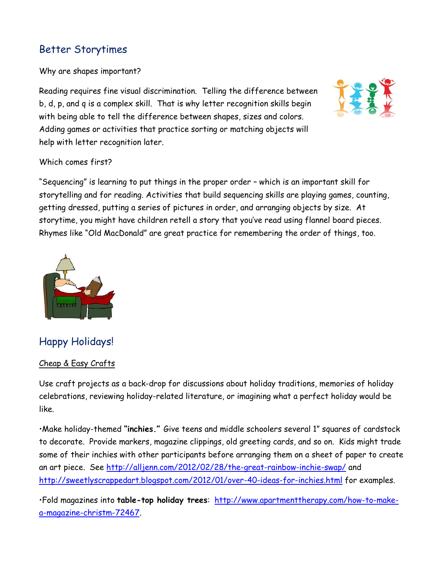### Better Storytimes

Why are shapes important?

Reading requires fine visual discrimination. Telling the difference between b, d, p, and q is a complex skill. That is why letter recognition skills begin with being able to tell the difference between shapes, sizes and colors. Adding games or activities that practice sorting or matching objects will help with letter recognition later.



#### Which comes first?

"Sequencing" is learning to put things in the proper order – which is an important skill for storytelling and for reading. Activities that build sequencing skills are playing games, counting, getting dressed, putting a series of pictures in order, and arranging objects by size. At storytime, you might have children retell a story that you've read using flannel board pieces. Rhymes like "Old MacDonald" are great practice for remembering the order of things, too.



## Happy Holidays!

#### Cheap & Easy Crafts

Use craft projects as a back-drop for discussions about holiday traditions, memories of holiday celebrations, reviewing holiday-related literature, or imagining what a perfect holiday would be like.

•Make holiday-themed **"inchies."** Give teens and middle schoolers several 1" squares of cardstock to decorate. Provide markers, magazine clippings, old greeting cards, and so on. Kids might trade some of their inchies with other participants before arranging them on a sheet of paper to create an art piece. See<http://alljenn.com/2012/02/28/the-great-rainbow-inchie-swap/> and <http://sweetlyscrappedart.blogspot.com/2012/01/over-40-ideas-for-inchies.html> for examples.

•Fold magazines into **table-top holiday trees**: [http://www.apartmenttherapy.com/how-to-make](http://www.apartmenttherapy.com/how-to-make-a-magazine-christm-72467)[a-magazine-christm-72467.](http://www.apartmenttherapy.com/how-to-make-a-magazine-christm-72467)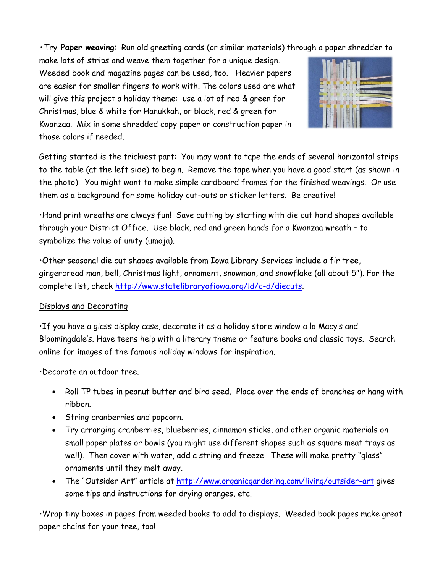**•**Try **Paper weaving**: Run old greeting cards (or similar materials) through a paper shredder to

make lots of strips and weave them together for a unique design. Weeded book and magazine pages can be used, too. Heavier papers are easier for smaller fingers to work with. The colors used are what will give this project a holiday theme: use a lot of red & green for Christmas, blue & white for Hanukkah, or black, red & green for Kwanzaa. Mix in some shredded copy paper or construction paper in those colors if needed.



Getting started is the trickiest part: You may want to tape the ends of several horizontal strips to the table (at the left side) to begin. Remove the tape when you have a good start (as shown in the photo). You might want to make simple cardboard frames for the finished weavings. Or use them as a background for some holiday cut-outs or sticker letters. Be creative!

•Hand print wreaths are always fun! Save cutting by starting with die cut hand shapes available through your District Office. Use black, red and green hands for a Kwanzaa wreath – to symbolize the value of unity (umoja).

•Other seasonal die cut shapes available from Iowa Library Services include a fir tree, gingerbread man, bell, Christmas light, ornament, snowman, and snowflake (all about 5"). For the complete list, check [http://www.statelibraryofiowa.org/ld/c-d/diecuts.](http://www.statelibraryofiowa.org/ld/c-d/diecuts)

#### Displays and Decorating

•If you have a glass display case, decorate it as a holiday store window a la Macy's and Bloomingdale's. Have teens help with a literary theme or feature books and classic toys. Search online for images of the famous holiday windows for inspiration.

•Decorate an outdoor tree.

- Roll TP tubes in peanut butter and bird seed. Place over the ends of branches or hang with ribbon.
- String cranberries and popcorn.
- Try arranging cranberries, blueberries, cinnamon sticks, and other organic materials on small paper plates or bowls (you might use different shapes such as square meat trays as well). Then cover with water, add a string and freeze. These will make pretty "glass" ornaments until they melt away.
- The "Outsider Art" article at <http://www.organicgardening.com/living/outsider-art> gives some tips and instructions for drying oranges, etc.

•Wrap tiny boxes in pages from weeded books to add to displays. Weeded book pages make great paper chains for your tree, too!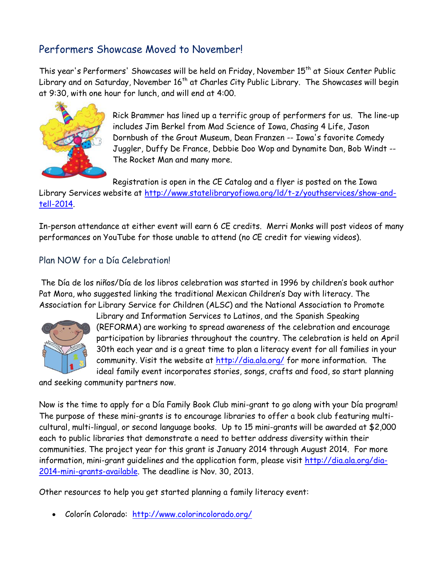### Performers Showcase Moved to November!

This year's Performers' Showcases will be held on Friday, November 15<sup>th</sup> at Sioux Center Public Library and on Saturday, November 16<sup>th</sup> at Charles City Public Library. The Showcases will begin at 9:30, with one hour for lunch, and will end at 4:00.



Rick Brammer has lined up a terrific group of performers for us. The line-up includes Jim Berkel from Mad Science of Iowa, Chasing 4 Life, Jason Dornbush of the Grout Museum, Dean Franzen -- Iowa's favorite Comedy Juggler, Duffy De France, Debbie Doo Wop and Dynamite Dan, Bob Windt -- The Rocket Man and many more.

Registration is open in the CE Catalog and a flyer is posted on the Iowa

Library Services website at [http://www.statelibraryofiowa.org/ld/t-z/youthservices/show-and](http://www.statelibraryofiowa.org/ld/t-z/youthservices/show-and-tell-2014)[tell-2014.](http://www.statelibraryofiowa.org/ld/t-z/youthservices/show-and-tell-2014)

In-person attendance at either event will earn 6 CE credits. Merri Monks will post videos of many performances on YouTube for those unable to attend (no CE credit for viewing videos).

### Plan NOW for a Día Celebration!

The Día de los niños/Día de los libros celebration was started in 1996 by children's book author Pat Mora, who suggested linking the traditional Mexican Children's Day with literacy. The Association for Library Service for Children (ALSC) and the National Association to Promote



Library and Information Services to Latinos, and the Spanish Speaking (REFORMA) are working to spread awareness of the celebration and encourage participation by libraries throughout the country. The celebration is held on April 30th each year and is a great time to plan a literacy event for all families in your community. Visit the website at<http://dia.ala.org/> for more information. The ideal family event incorporates stories, songs, crafts and food, so start planning

and seeking community partners now.

Now is the time to apply for a Día Family Book Club mini-grant to go along with your Día program! The purpose of these mini-grants is to encourage libraries to offer a book club featuring multicultural, multi-lingual, or second language books. Up to 15 mini-grants will be awarded at \$2,000 each to public libraries that demonstrate a need to better address diversity within their communities. The project year for this grant is January 2014 through August 2014. For more information, mini-grant guidelines and the application form, please visit [http://dia.ala.org/dia-](http://dia.ala.org/dia-2014-mini-grants-available)[2014-mini-grants-available.](http://dia.ala.org/dia-2014-mini-grants-available) The deadline is Nov. 30, 2013.

Other resources to help you get started planning a family literacy event:

Colorín Colorado: <http://www.colorincolorado.org/>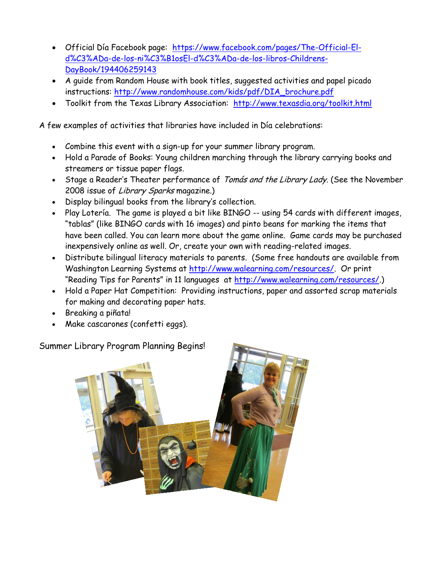- Official Día Facebook page: [https://www.facebook.com/pages/The-Official-El](https://www.facebook.com/pages/The-Official-El-d%C3%ADa-de-los-ni%C3%B1osEl-d%C3%ADa-de-los-libros-Childrens-DayBook/194406259143)[d%C3%ADa-de-los-ni%C3%B1osEl-d%C3%ADa-de-los-libros-Childrens-](https://www.facebook.com/pages/The-Official-El-d%C3%ADa-de-los-ni%C3%B1osEl-d%C3%ADa-de-los-libros-Childrens-DayBook/194406259143)[DayBook/194406259143](https://www.facebook.com/pages/The-Official-El-d%C3%ADa-de-los-ni%C3%B1osEl-d%C3%ADa-de-los-libros-Childrens-DayBook/194406259143)
- A guide from Random House with book titles, suggested activities and papel picado instructions: [http://www.randomhouse.com/kids/pdf/DIA\\_brochure.pdf](http://www.randomhouse.com/kids/pdf/DIA_brochure.pdf)
- Toolkit from the Texas Library Association: <http://www.texasdia.org/toolkit.html>

A few examples of activities that libraries have included in Día celebrations:

- Combine this event with a sign-up for your summer library program.
- Hold a Parade of Books: Young children marching through the library carrying books and streamers or tissue paper flags.
- Stage a Reader's Theater performance of Tomás and the Library Lady. (See the November 2008 issue of Library Sparks magazine.)
- Display bilingual books from the library's collection.
- Play Lotería. The game is played a bit like BINGO -- using 54 cards with different images, "tablas" (like BINGO cards with 16 images) and pinto beans for marking the items that have been called. You can learn more about the game online. Game cards may be purchased inexpensively online as well. Or, create your own with reading-related images.
- Distribute bilingual literacy materials to parents. (Some free handouts are available from Washington Learning Systems at [http://www.walearning.com/resources/.](http://www.walearning.com/resources/) Or print "Reading Tips for Parents" in 11 languages at [http://www.walearning.com/resources/.](http://www.walearning.com/resources/))
- Hold a Paper Hat Competition: Providing instructions, paper and assorted scrap materials for making and decorating paper hats.
- Breaking a piñata!
- Make cascarones (confetti eggs).

Summer Library Program Planning Begins!